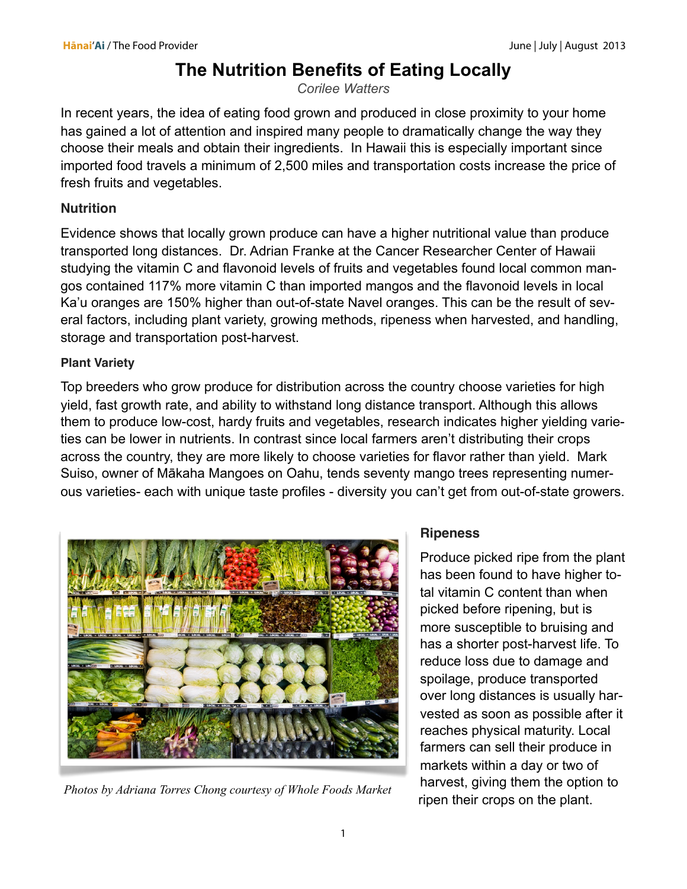# **The Nutrition Benefits of Eating Locally**

*Corilee Watters*

In recent years, the idea of eating food grown and produced in close proximity to your home has gained a lot of attention and inspired many people to dramatically change the way they choose their meals and obtain their ingredients. In Hawaii this is especially important since imported food travels a minimum of 2,500 miles and transportation costs increase the price of fresh fruits and vegetables.

### **Nutrition**

Evidence shows that locally grown produce can have a higher nutritional value than produce transported long distances. Dr. Adrian Franke at the Cancer Researcher Center of Hawaii studying the vitamin C and flavonoid levels of fruits and vegetables found local common mangos contained 117% more vitamin C than imported mangos and the flavonoid levels in local Ka'u oranges are 150% higher than out-of-state Navel oranges. This can be the result of several factors, including plant variety, growing methods, ripeness when harvested, and handling, storage and transportation post-harvest.

## **Plant Variety**

Top breeders who grow produce for distribution across the country choose varieties for high yield, fast growth rate, and ability to withstand long distance transport. Although this allows them to produce low-cost, hardy fruits and vegetables, research indicates higher yielding varieties can be lower in nutrients. In contrast since local farmers aren't distributing their crops across the country, they are more likely to choose varieties for flavor rather than yield. Mark Suiso, owner of Mākaha Mangoes on Oahu, tends seventy mango trees representing numerous varieties- each with unique taste profiles - diversity you can't get from out-of-state growers.



*Photos by Adriana Torres Chong courtesy of Whole Foods Market*

# **Ripeness**

Produce picked ripe from the plant has been found to have higher total vitamin C content than when picked before ripening, but is more susceptible to bruising and has a shorter post-harvest life. To reduce loss due to damage and spoilage, produce transported over long distances is usually harvested as soon as possible after it reaches physical maturity. Local farmers can sell their produce in markets within a day or two of harvest, giving them the option to ripen their crops on the plant.